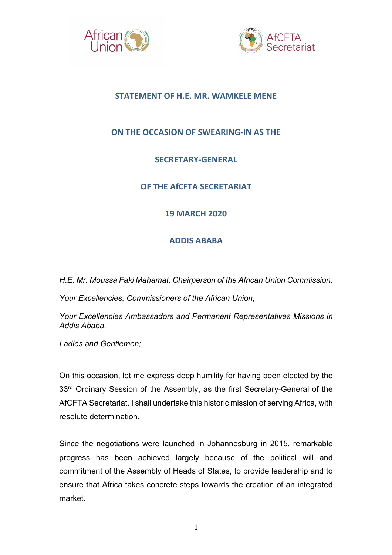



## **STATEMENT OF H.E. MR. WAMKELE MENE**

# **ON THE OCCASION OF SWEARING-IN AS THE**

# **SECRETARY-GENERAL**

# **OF THE AfCFTA SECRETARIAT**

## **19 MARCH 2020**

### **ADDIS ABABA**

*H.E. Mr. Moussa Faki Mahamat, Chairperson of the African Union Commission,*

*Your Excellencies, Commissioners of the African Union,* 

*Your Excellencies Ambassadors and Permanent Representatives Missions in Addis Ababa,*

*Ladies and Gentlemen;*

On this occasion, let me express deep humility for having been elected by the 33<sup>rd</sup> Ordinary Session of the Assembly, as the first Secretary-General of the AfCFTA Secretariat. I shall undertake this historic mission of serving Africa, with resolute determination.

Since the negotiations were launched in Johannesburg in 2015, remarkable progress has been achieved largely because of the political will and commitment of the Assembly of Heads of States, to provide leadership and to ensure that Africa takes concrete steps towards the creation of an integrated market.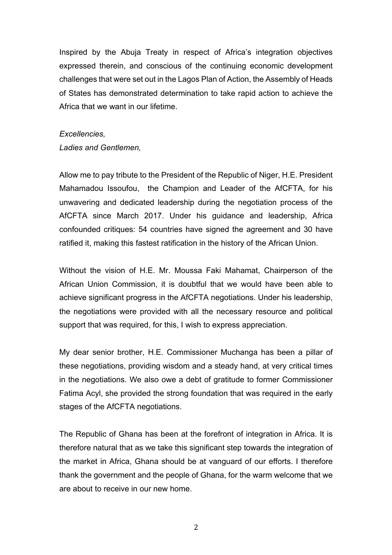Inspired by the Abuja Treaty in respect of Africa's integration objectives expressed therein, and conscious of the continuing economic development challenges that were set out in the Lagos Plan of Action, the Assembly of Heads of States has demonstrated determination to take rapid action to achieve the Africa that we want in our lifetime.

#### *Excellencies,*

*Ladies and Gentlemen,* 

Allow me to pay tribute to the President of the Republic of Niger, H.E. President Mahamadou Issoufou, the Champion and Leader of the AfCFTA, for his unwavering and dedicated leadership during the negotiation process of the AfCFTA since March 2017. Under his guidance and leadership, Africa confounded critiques: 54 countries have signed the agreement and 30 have ratified it, making this fastest ratification in the history of the African Union.

Without the vision of H.E. Mr. Moussa Faki Mahamat, Chairperson of the African Union Commission, it is doubtful that we would have been able to achieve significant progress in the AfCFTA negotiations. Under his leadership, the negotiations were provided with all the necessary resource and political support that was required, for this, I wish to express appreciation.

My dear senior brother, H.E. Commissioner Muchanga has been a pillar of these negotiations, providing wisdom and a steady hand, at very critical times in the negotiations. We also owe a debt of gratitude to former Commissioner Fatima Acyl, she provided the strong foundation that was required in the early stages of the AfCFTA negotiations.

The Republic of Ghana has been at the forefront of integration in Africa. It is therefore natural that as we take this significant step towards the integration of the market in Africa, Ghana should be at vanguard of our efforts. I therefore thank the government and the people of Ghana, for the warm welcome that we are about to receive in our new home.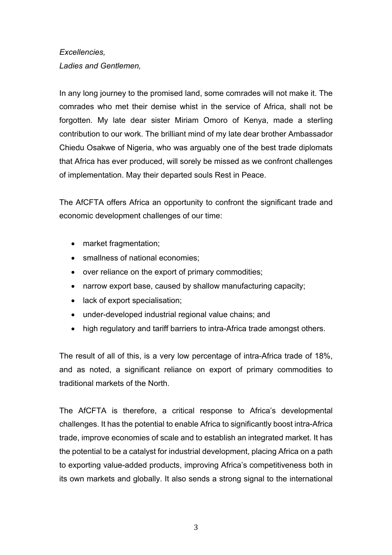### *Excellencies,*

*Ladies and Gentlemen,* 

In any long journey to the promised land, some comrades will not make it. The comrades who met their demise whist in the service of Africa, shall not be forgotten. My late dear sister Miriam Omoro of Kenya, made a sterling contribution to our work. The brilliant mind of my late dear brother Ambassador Chiedu Osakwe of Nigeria, who was arguably one of the best trade diplomats that Africa has ever produced, will sorely be missed as we confront challenges of implementation. May their departed souls Rest in Peace.

The AfCFTA offers Africa an opportunity to confront the significant trade and economic development challenges of our time:

- market fragmentation:
- smallness of national economies:
- over reliance on the export of primary commodities;
- narrow export base, caused by shallow manufacturing capacity;
- lack of export specialisation:
- under-developed industrial regional value chains; and
- high regulatory and tariff barriers to intra-Africa trade amongst others.

The result of all of this, is a very low percentage of intra-Africa trade of 18%, and as noted, a significant reliance on export of primary commodities to traditional markets of the North.

The AfCFTA is therefore, a critical response to Africa's developmental challenges. It has the potential to enable Africa to significantly boost intra-Africa trade, improve economies of scale and to establish an integrated market. It has the potential to be a catalyst for industrial development, placing Africa on a path to exporting value-added products, improving Africa's competitiveness both in its own markets and globally. It also sends a strong signal to the international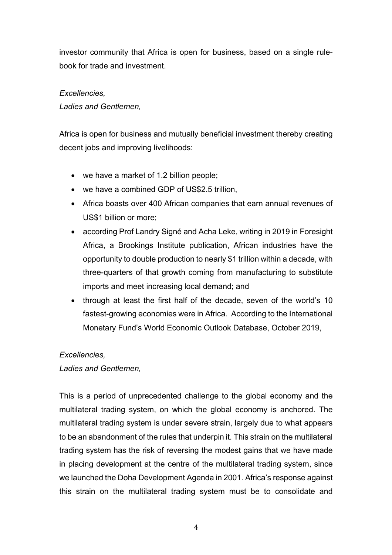investor community that Africa is open for business, based on a single rulebook for trade and investment.

### *Excellencies,*

*Ladies and Gentlemen,* 

Africa is open for business and mutually beneficial investment thereby creating decent jobs and improving livelihoods:

- we have a market of 1.2 billion people;
- we have a combined GDP of US\$2.5 trillion,
- Africa boasts over 400 African companies that earn annual revenues of US\$1 billion or more;
- according Prof Landry Signé and Acha Leke, writing in 2019 in Foresight Africa, a Brookings Institute publication, African industries have the opportunity to double production to nearly \$1 trillion within a decade, with three-quarters of that growth coming from manufacturing to substitute imports and meet increasing local demand; and
- through at least the first half of the decade, seven of the world's 10 fastest-growing economies were in Africa. According to the International Monetary Fund's World Economic Outlook Database, October 2019,

### *Excellencies,*

### *Ladies and Gentlemen,*

This is a period of unprecedented challenge to the global economy and the multilateral trading system, on which the global economy is anchored. The multilateral trading system is under severe strain, largely due to what appears to be an abandonment of the rules that underpin it. This strain on the multilateral trading system has the risk of reversing the modest gains that we have made in placing development at the centre of the multilateral trading system, since we launched the Doha Development Agenda in 2001. Africa's response against this strain on the multilateral trading system must be to consolidate and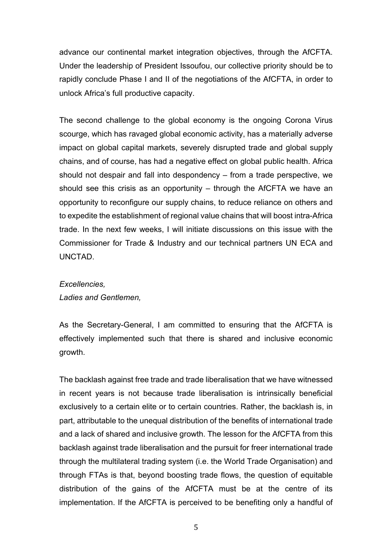advance our continental market integration objectives, through the AfCFTA. Under the leadership of President Issoufou, our collective priority should be to rapidly conclude Phase I and II of the negotiations of the AfCFTA, in order to unlock Africa's full productive capacity.

The second challenge to the global economy is the ongoing Corona Virus scourge, which has ravaged global economic activity, has a materially adverse impact on global capital markets, severely disrupted trade and global supply chains, and of course, has had a negative effect on global public health. Africa should not despair and fall into despondency – from a trade perspective, we should see this crisis as an opportunity – through the AfCFTA we have an opportunity to reconfigure our supply chains, to reduce reliance on others and to expedite the establishment of regional value chains that will boost intra-Africa trade. In the next few weeks, I will initiate discussions on this issue with the Commissioner for Trade & Industry and our technical partners UN ECA and UNCTAD.

#### *Excellencies,*

*Ladies and Gentlemen,* 

As the Secretary-General, I am committed to ensuring that the AfCFTA is effectively implemented such that there is shared and inclusive economic growth.

The backlash against free trade and trade liberalisation that we have witnessed in recent years is not because trade liberalisation is intrinsically beneficial exclusively to a certain elite or to certain countries. Rather, the backlash is, in part, attributable to the unequal distribution of the benefits of international trade and a lack of shared and inclusive growth. The lesson for the AfCFTA from this backlash against trade liberalisation and the pursuit for freer international trade through the multilateral trading system (i.e. the World Trade Organisation) and through FTAs is that, beyond boosting trade flows, the question of equitable distribution of the gains of the AfCFTA must be at the centre of its implementation. If the AfCFTA is perceived to be benefiting only a handful of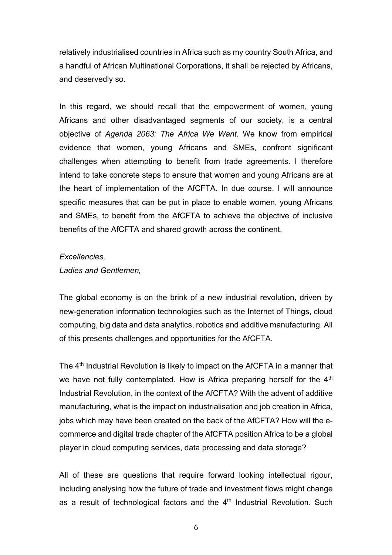relatively industrialised countries in Africa such as my country South Africa, and a handful of African Multinational Corporations, it shall be rejected by Africans, and deservedly so.

In this regard, we should recall that the empowerment of women, young Africans and other disadvantaged segments of our society, is a central objective of *Agenda 2063: The Africa We Want*. We know from empirical evidence that women, young Africans and SMEs, confront significant challenges when attempting to benefit from trade agreements. I therefore intend to take concrete steps to ensure that women and young Africans are at the heart of implementation of the AfCFTA. In due course, I will announce specific measures that can be put in place to enable women, young Africans and SMEs, to benefit from the AfCFTA to achieve the objective of inclusive benefits of the AfCFTA and shared growth across the continent.

#### *Excellencies,*

### *Ladies and Gentlemen,*

The global economy is on the brink of a new industrial revolution, driven by new-generation information technologies such as the Internet of Things, cloud computing, big data and data analytics, robotics and additive manufacturing. All of this presents challenges and opportunities for the AfCFTA.

The 4<sup>th</sup> Industrial Revolution is likely to impact on the AfCFTA in a manner that we have not fully contemplated. How is Africa preparing herself for the 4<sup>th</sup> Industrial Revolution, in the context of the AfCFTA? With the advent of additive manufacturing, what is the impact on industrialisation and job creation in Africa, jobs which may have been created on the back of the AfCFTA? How will the ecommerce and digital trade chapter of the AfCFTA position Africa to be a global player in cloud computing services, data processing and data storage?

All of these are questions that require forward looking intellectual rigour, including analysing how the future of trade and investment flows might change as a result of technological factors and the  $4<sup>th</sup>$  Industrial Revolution. Such

6